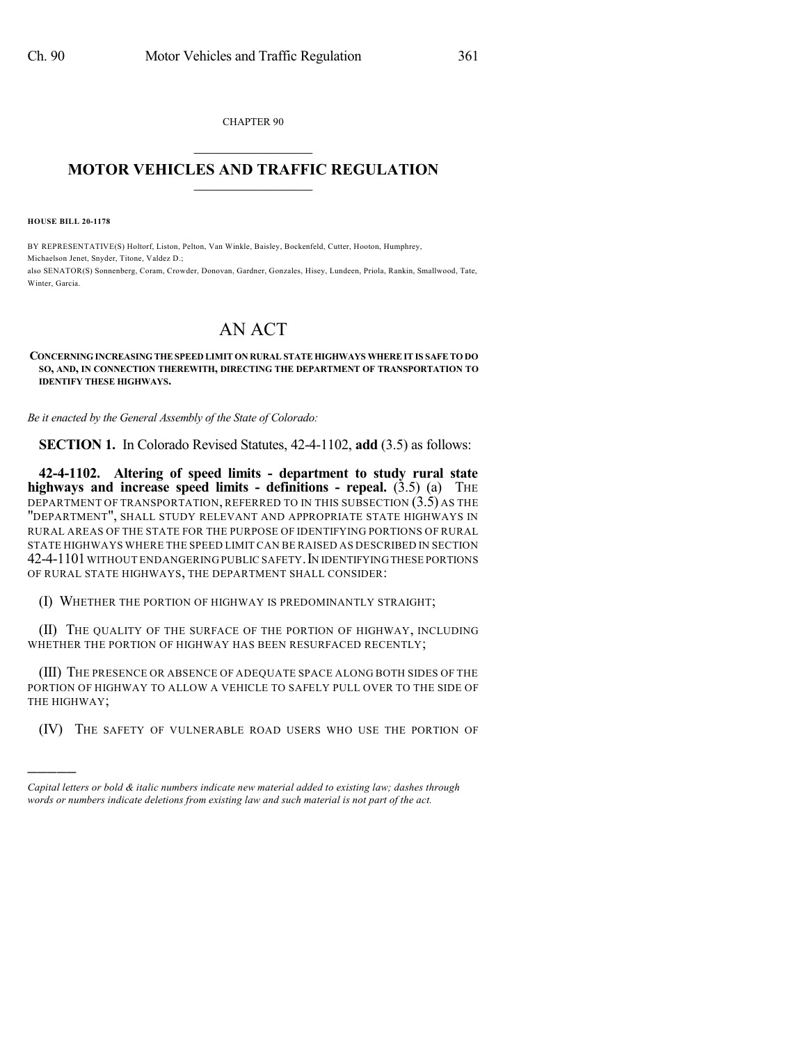CHAPTER 90  $\mathcal{L}_\text{max}$  . The set of the set of the set of the set of the set of the set of the set of the set of the set of the set of the set of the set of the set of the set of the set of the set of the set of the set of the set

## **MOTOR VEHICLES AND TRAFFIC REGULATION**  $\frac{1}{2}$  ,  $\frac{1}{2}$  ,  $\frac{1}{2}$  ,  $\frac{1}{2}$  ,  $\frac{1}{2}$  ,  $\frac{1}{2}$  ,  $\frac{1}{2}$

**HOUSE BILL 20-1178**

)))))

BY REPRESENTATIVE(S) Holtorf, Liston, Pelton, Van Winkle, Baisley, Bockenfeld, Cutter, Hooton, Humphrey, Michaelson Jenet, Snyder, Titone, Valdez D.; also SENATOR(S) Sonnenberg, Coram, Crowder, Donovan, Gardner, Gonzales, Hisey, Lundeen, Priola, Rankin, Smallwood, Tate, Winter, Garcia.

## AN ACT

## **CONCERNING INCREASING THESPEED LIMIT ON RURAL STATE HIGHWAYS WHERE IT IS SAFE TO DO SO, AND, IN CONNECTION THEREWITH, DIRECTING THE DEPARTMENT OF TRANSPORTATION TO IDENTIFY THESE HIGHWAYS.**

*Be it enacted by the General Assembly of the State of Colorado:*

**SECTION 1.** In Colorado Revised Statutes, 42-4-1102, **add** (3.5) as follows:

**42-4-1102. Altering of speed limits - department to study rural state highways and increase speed limits - definitions - repeal.** (3.5) (a) THE DEPARTMENT OF TRANSPORTATION, REFERRED TO IN THIS SUBSECTION (3.5) AS THE "DEPARTMENT", SHALL STUDY RELEVANT AND APPROPRIATE STATE HIGHWAYS IN RURAL AREAS OF THE STATE FOR THE PURPOSE OF IDENTIFYING PORTIONS OF RURAL STATE HIGHWAYS WHERE THE SPEED LIMIT CAN BE RAISED AS DESCRIBED IN SECTION 42-4-1101 WITHOUT ENDANGERING PUBLIC SAFETY. IN IDENTIFYING THESE PORTIONS OF RURAL STATE HIGHWAYS, THE DEPARTMENT SHALL CONSIDER:

(I) WHETHER THE PORTION OF HIGHWAY IS PREDOMINANTLY STRAIGHT;

(II) THE QUALITY OF THE SURFACE OF THE PORTION OF HIGHWAY, INCLUDING WHETHER THE PORTION OF HIGHWAY HAS BEEN RESURFACED RECENTLY;

(III) THE PRESENCE OR ABSENCE OF ADEQUATE SPACE ALONG BOTH SIDES OF THE PORTION OF HIGHWAY TO ALLOW A VEHICLE TO SAFELY PULL OVER TO THE SIDE OF THE HIGHWAY;

(IV) THE SAFETY OF VULNERABLE ROAD USERS WHO USE THE PORTION OF

*Capital letters or bold & italic numbers indicate new material added to existing law; dashes through words or numbers indicate deletions from existing law and such material is not part of the act.*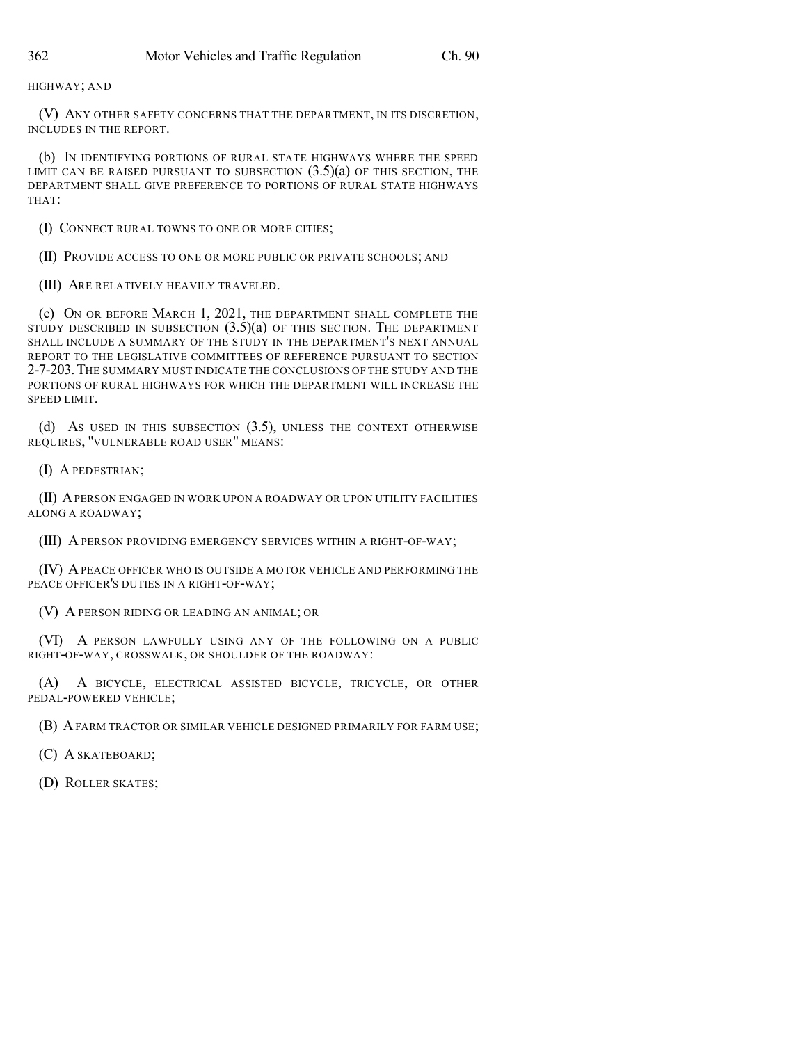HIGHWAY; AND

(V) ANY OTHER SAFETY CONCERNS THAT THE DEPARTMENT, IN ITS DISCRETION, INCLUDES IN THE REPORT.

(b) IN IDENTIFYING PORTIONS OF RURAL STATE HIGHWAYS WHERE THE SPEED LIMIT CAN BE RAISED PURSUANT TO SUBSECTION  $(3.5)(a)$  OF THIS SECTION, THE DEPARTMENT SHALL GIVE PREFERENCE TO PORTIONS OF RURAL STATE HIGHWAYS THAT:

(I) CONNECT RURAL TOWNS TO ONE OR MORE CITIES;

(II) PROVIDE ACCESS TO ONE OR MORE PUBLIC OR PRIVATE SCHOOLS; AND

(III) ARE RELATIVELY HEAVILY TRAVELED.

(c) ON OR BEFORE MARCH 1, 2021, THE DEPARTMENT SHALL COMPLETE THE STUDY DESCRIBED IN SUBSECTION  $(3.5)(a)$  of this section. The department SHALL INCLUDE A SUMMARY OF THE STUDY IN THE DEPARTMENT'S NEXT ANNUAL REPORT TO THE LEGISLATIVE COMMITTEES OF REFERENCE PURSUANT TO SECTION 2-7-203.THE SUMMARY MUST INDICATE THE CONCLUSIONS OF THE STUDY AND THE PORTIONS OF RURAL HIGHWAYS FOR WHICH THE DEPARTMENT WILL INCREASE THE SPEED LIMIT.

(d) AS USED IN THIS SUBSECTION (3.5), UNLESS THE CONTEXT OTHERWISE REQUIRES, "VULNERABLE ROAD USER" MEANS:

(I) A PEDESTRIAN;

(II) APERSON ENGAGED IN WORK UPON A ROADWAY OR UPON UTILITY FACILITIES ALONG A ROADWAY;

(III) A PERSON PROVIDING EMERGENCY SERVICES WITHIN A RIGHT-OF-WAY;

(IV) APEACE OFFICER WHO IS OUTSIDE A MOTOR VEHICLE AND PERFORMING THE PEACE OFFICER'S DUTIES IN A RIGHT-OF-WAY;

(V) A PERSON RIDING OR LEADING AN ANIMAL; OR

(VI) A PERSON LAWFULLY USING ANY OF THE FOLLOWING ON A PUBLIC RIGHT-OF-WAY, CROSSWALK, OR SHOULDER OF THE ROADWAY:

(A) A BICYCLE, ELECTRICAL ASSISTED BICYCLE, TRICYCLE, OR OTHER PEDAL-POWERED VEHICLE;

(B) AFARM TRACTOR OR SIMILAR VEHICLE DESIGNED PRIMARILY FOR FARM USE;

(C) A SKATEBOARD;

(D) ROLLER SKATES;